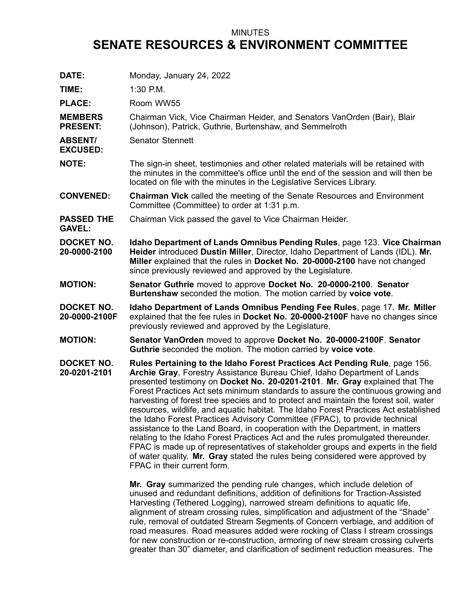## MINUTES **SENATE RESOURCES & ENVIRONMENT COMMITTEE**

| DATE:                              | Monday, January 24, 2022                                                                                                                                                                                                                                                                                                                                                                                                                                                                                                                                                                                                                                                                                                                                                                                                                                                                                                                                                                                                                    |
|------------------------------------|---------------------------------------------------------------------------------------------------------------------------------------------------------------------------------------------------------------------------------------------------------------------------------------------------------------------------------------------------------------------------------------------------------------------------------------------------------------------------------------------------------------------------------------------------------------------------------------------------------------------------------------------------------------------------------------------------------------------------------------------------------------------------------------------------------------------------------------------------------------------------------------------------------------------------------------------------------------------------------------------------------------------------------------------|
| TIME:                              | 1:30 P.M.                                                                                                                                                                                                                                                                                                                                                                                                                                                                                                                                                                                                                                                                                                                                                                                                                                                                                                                                                                                                                                   |
| <b>PLACE:</b>                      | Room WW55                                                                                                                                                                                                                                                                                                                                                                                                                                                                                                                                                                                                                                                                                                                                                                                                                                                                                                                                                                                                                                   |
| <b>MEMBERS</b><br><b>PRESENT:</b>  | Chairman Vick, Vice Chairman Heider, and Senators VanOrden (Bair), Blair<br>(Johnson), Patrick, Guthrie, Burtenshaw, and Semmelroth                                                                                                                                                                                                                                                                                                                                                                                                                                                                                                                                                                                                                                                                                                                                                                                                                                                                                                         |
| <b>ABSENT/</b><br><b>EXCUSED:</b>  | <b>Senator Stennett</b>                                                                                                                                                                                                                                                                                                                                                                                                                                                                                                                                                                                                                                                                                                                                                                                                                                                                                                                                                                                                                     |
| <b>NOTE:</b>                       | The sign-in sheet, testimonies and other related materials will be retained with<br>the minutes in the committee's office until the end of the session and will then be<br>located on file with the minutes in the Legislative Services Library.                                                                                                                                                                                                                                                                                                                                                                                                                                                                                                                                                                                                                                                                                                                                                                                            |
| <b>CONVENED:</b>                   | <b>Chairman Vick</b> called the meeting of the Senate Resources and Environment<br>Committee (Committee) to order at 1:31 p.m.                                                                                                                                                                                                                                                                                                                                                                                                                                                                                                                                                                                                                                                                                                                                                                                                                                                                                                              |
| <b>PASSED THE</b><br><b>GAVEL:</b> | Chairman Vick passed the gavel to Vice Chairman Heider.                                                                                                                                                                                                                                                                                                                                                                                                                                                                                                                                                                                                                                                                                                                                                                                                                                                                                                                                                                                     |
| <b>DOCKET NO.</b><br>20-0000-2100  | Idaho Department of Lands Omnibus Pending Rules, page 123. Vice Chairman<br>Heider introduced Dustin Miller, Director, Idaho Department of Lands (IDL). Mr.<br>Miller explained that the rules in Docket No. 20-0000-2100 have not changed<br>since previously reviewed and approved by the Legislature.                                                                                                                                                                                                                                                                                                                                                                                                                                                                                                                                                                                                                                                                                                                                    |
| <b>MOTION:</b>                     | Senator Guthrie moved to approve Docket No. 20-0000-2100. Senator<br>Burtenshaw seconded the motion. The motion carried by voice vote.                                                                                                                                                                                                                                                                                                                                                                                                                                                                                                                                                                                                                                                                                                                                                                                                                                                                                                      |
| <b>DOCKET NO.</b><br>20-0000-2100F | Idaho Department of Lands Omnibus Pending Fee Rules, page 17. Mr. Miller<br>explained that the fee rules in Docket No. 20-0000-2100F have no changes since<br>previously reviewed and approved by the Legislature.                                                                                                                                                                                                                                                                                                                                                                                                                                                                                                                                                                                                                                                                                                                                                                                                                          |
| <b>MOTION:</b>                     | Senator VanOrden moved to approve Docket No. 20-0000-2100F. Senator<br>Guthrie seconded the motion. The motion carried by voice vote.                                                                                                                                                                                                                                                                                                                                                                                                                                                                                                                                                                                                                                                                                                                                                                                                                                                                                                       |
| <b>DOCKET NO.</b><br>20-0201-2101  | Rules Pertaining to the Idaho Forest Practices Act Pending Rule, page 156.<br>Archie Gray, Forestry Assistance Bureau Chief, Idaho Department of Lands<br>presented testimony on Docket No. 20-0201-2101. Mr. Gray explained that The<br>Forest Practices Act sets minimum standards to assure the continuous growing and<br>harvesting of forest tree species and to protect and maintain the forest soil, water<br>resources, wildlife, and aquatic habitat. The Idaho Forest Practices Act established<br>the Idaho Forest Practices Advisory Committee (FPAC), to provide technical<br>assistance to the Land Board, in cooperation with the Department, in matters<br>relating to the Idaho Forest Practices Act and the rules promulgated thereunder.<br>FPAC is made up of representatives of stakeholder groups and experts in the field<br>of water quality. Mr. Gray stated the rules being considered were approved by<br>FPAC in their current form.<br>Mr. Gray summarized the pending rule changes, which include deletion of |
|                                    | unused and redundant definitions, addition of definitions for Traction-Assisted<br>Harvesting (Tethered Logging), narrowed stream definitions to aquatic life,                                                                                                                                                                                                                                                                                                                                                                                                                                                                                                                                                                                                                                                                                                                                                                                                                                                                              |

Harvesting (Tethered Logging), narrowed stream definitions to aquatic life, alignment of stream crossing rules, simplification and adjustment of the "Shade" rule, removal of outdated Stream Segments of Concern verbiage, and addition of road measures. Road measures added were rocking of Class I stream crossings for new construction or re-construction, armoring of new stream crossing culverts greater than 30" diameter, and clarification of sediment reduction measures. The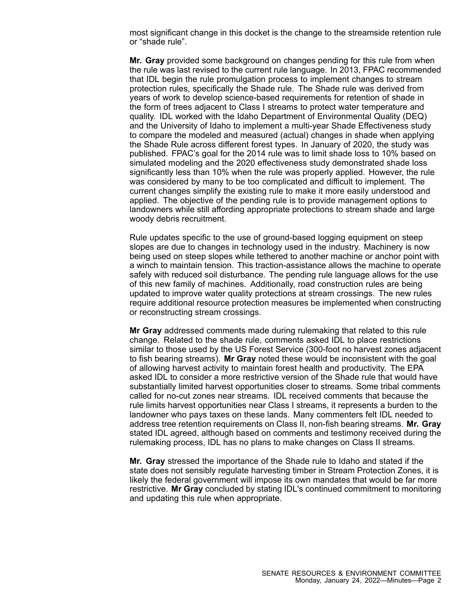most significant change in this docket is the change to the streamside retention rule or "shade rule".

**Mr. Gray** provided some background on changes pending for this rule from when the rule was last revised to the current rule language. In 2013, FPAC recommended that IDL begin the rule promulgation process to implement changes to stream protection rules, specifically the Shade rule. The Shade rule was derived from years of work to develop science-based requirements for retention of shade in the form of trees adjacent to Class I streams to protect water temperature and quality. IDL worked with the Idaho Department of Environmental Quality (DEQ) and the University of Idaho to implement <sup>a</sup> multi-year Shade Effectiveness study to compare the modeled and measured (actual) changes in shade when applying the Shade Rule across different forest types. In January of 2020, the study was published. FPAC's goal for the 2014 rule was to limit shade loss to 10% based on simulated modeling and the 2020 effectiveness study demonstrated shade loss significantly less than 10% when the rule was properly applied. However, the rule was considered by many to be too complicated and difficult to implement. The current changes simplify the existing rule to make it more easily understood and applied. The objective of the pending rule is to provide management options to landowners while still affording appropriate protections to stream shade and large woody debris recruitment.

Rule updates specific to the use of ground-based logging equipment on steep slopes are due to changes in technology used in the industry. Machinery is now being used on steep slopes while tethered to another machine or anchor point with <sup>a</sup> winch to maintain tension. This traction-assistance allows the machine to operate safely with reduced soil disturbance. The pending rule language allows for the use of this new family of machines. Additionally, road construction rules are being updated to improve water quality protections at stream crossings. The new rules require additional resource protection measures be implemented when constructing or reconstructing stream crossings.

**Mr Gray** addressed comments made during rulemaking that related to this rule change. Related to the shade rule, comments asked IDL to place restrictions similar to those used by the US Forest Service (300-foot no harvest zones adjacent to fish bearing streams). **Mr Gray** noted these would be inconsistent with the goal of allowing harvest activity to maintain forest health and productivity. The EPA asked IDL to consider a more restrictive version of the Shade rule that would have substantially limited harvest opportunities closer to streams. Some tribal comments called for no-cut zones near streams. IDL received comments that because the rule limits harvest opportunities near Class I streams, it represents <sup>a</sup> burden to the landowner who pays taxes on these lands. Many commenters felt IDL needed to address tree retention requirements on Class II, non-fish bearing streams. **Mr. Gray** stated IDL agreed, although based on comments and testimony received during the rulemaking process, IDL has no plans to make changes on Class II streams.

**Mr. Gray** stressed the importance of the Shade rule to Idaho and stated if the state does not sensibly regulate harvesting timber in Stream Protection Zones, it is likely the federal government will impose its own mandates that would be far more restrictive. **Mr Gray** concluded by stating IDL's continued commitment to monitoring and updating this rule when appropriate.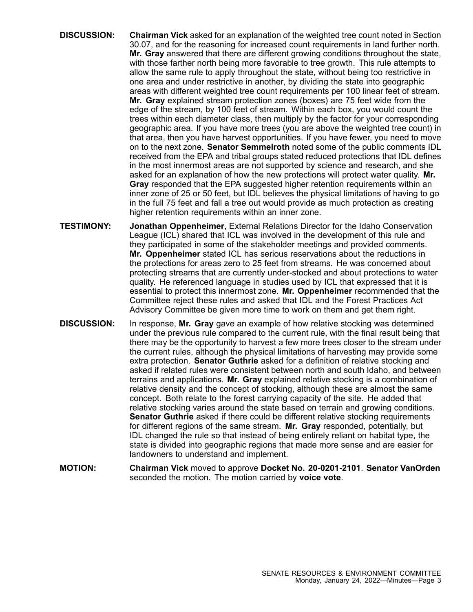- **DISCUSSION: Chairman Vick** asked for an explanation of the weighted tree count noted in Section 30.07, and for the reasoning for increased count requirements in land further north. **Mr. Gray** answered that there are different growing conditions throughout the state, with those farther north being more favorable to tree growth. This rule attempts to allow the same rule to apply throughout the state, without being too restrictive in one area and under restrictive in another, by dividing the state into geographic areas with different weighted tree count requirements per 100 linear feet of stream. **Mr. Gray** explained stream protection zones (boxes) are 75 feet wide from the edge of the stream, by 100 feet of stream. Within each box, you would count the trees within each diameter class, then multiply by the factor for your corresponding geographic area. If you have more trees (you are above the weighted tree count) in that area, then you have harvest opportunities. If you have fewer, you need to move on to the next zone. **Senator Semmelroth** noted some of the public comments IDL received from the EPA and tribal groups stated reduced protections that IDL defines in the most innermost areas are not supported by science and research, and she asked for an explanation of how the new protections will protect water quality. **Mr. Gray** responded that the EPA suggested higher retention requirements within an inner zone of 25 or 50 feet, but IDL believes the physical limitations of having to go in the full 75 feet and fall <sup>a</sup> tree out would provide as much protection as creating higher retention requirements within an inner zone.
- **TESTIMONY: Jonathan Oppenheimer**, External Relations Director for the Idaho Conservation League (ICL) shared that ICL was involved in the development of this rule and they participated in some of the stakeholder meetings and provided comments. **Mr. Oppenheimer** stated ICL has serious reservations about the reductions in the protections for areas zero to 25 feet from streams. He was concerned about protecting streams that are currently under-stocked and about protections to water quality. He referenced language in studies used by ICL that expressed that it is essential to protect this innermost zone. **Mr. Oppenheimer** recommended that the Committee reject these rules and asked that IDL and the Forest Practices Act Advisory Committee be given more time to work on them and get them right.
- **DISCUSSION:** In response, **Mr. Gray** gave an example of how relative stocking was determined under the previous rule compared to the current rule, with the final result being that there may be the opportunity to harvest <sup>a</sup> few more trees closer to the stream under the current rules, although the physical limitations of harvesting may provide some extra protection. **Senator Guthrie** asked for <sup>a</sup> definition of relative stocking and asked if related rules were consistent between north and south Idaho, and between terrains and applications. **Mr. Gray** explained relative stocking is <sup>a</sup> combination of relative density and the concept of stocking, although these are almost the same concept. Both relate to the forest carrying capacity of the site. He added that relative stocking varies around the state based on terrain and growing conditions. **Senator Guthrie** asked if there could be different relative stocking requirements for different regions of the same stream. **Mr. Gray** responded, potentially, but IDL changed the rule so that instead of being entirely reliant on habitat type, the state is divided into geographic regions that made more sense and are easier for landowners to understand and implement.
- **MOTION: Chairman Vick** moved to approve **Docket No. 20-0201-2101**. **Senator VanOrden** seconded the motion. The motion carried by **voice vote**.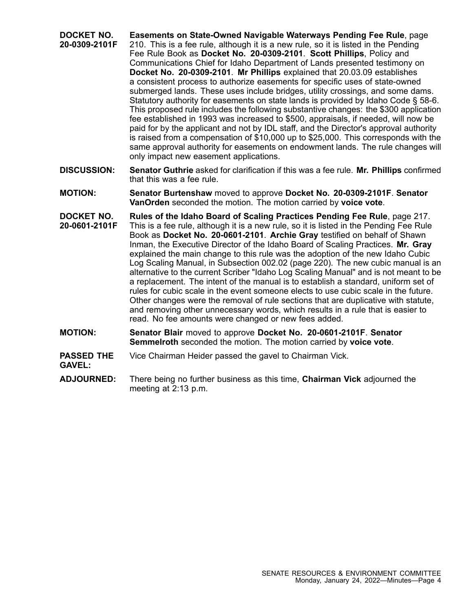- **DOCKET NO. 20-0309-2101F Easements on State-Owned Navigable Waterways Pending Fee Rule**, page 210. This is <sup>a</sup> fee rule, although it is <sup>a</sup> new rule, so it is listed in the Pending Fee Rule Book as **Docket No. 20-0309-2101**. **Scott Phillips**, Policy and Communications Chief for Idaho Department of Lands presented testimony on **Docket No. 20-0309-2101**. **Mr Phillips** explained that 20.03.09 establishes <sup>a</sup> consistent process to authorize easements for specific uses of state-owned submerged lands. These uses include bridges, utility crossings, and some dams. Statutory authority for easements on state lands is provided by Idaho Code § 58-6. This proposed rule includes the following substantive changes: the \$300 application fee established in 1993 was increased to \$500, appraisals, if needed, will now be paid for by the applicant and not by IDL staff, and the Director's approval authority is raised from <sup>a</sup> compensation of \$10,000 up to \$25,000. This corresponds with the same approval authority for easements on endowment lands. The rule changes will only impact new easement applications.
- **DISCUSSION: Senator Guthrie** asked for clarification if this was <sup>a</sup> fee rule. **Mr. Phillips** confirmed that this was a fee rule.
- **MOTION: Senator Burtenshaw** moved to approve **Docket No. 20-0309-2101F**. **Senator VanOrden** seconded the motion. The motion carried by **voice vote**.
- **DOCKET NO. 20-0601-2101F Rules of the Idaho Board of Scaling Practices Pending Fee Rule**, page 217. This is <sup>a</sup> fee rule, although it is <sup>a</sup> new rule, so it is listed in the Pending Fee Rule Book as **Docket No. 20-0601-2101**. **Archie Gray** testified on behalf of Shawn Inman, the Executive Director of the Idaho Board of Scaling Practices. **Mr. Gray** explained the main change to this rule was the adoption of the new Idaho Cubic Log Scaling Manual, in Subsection 002.02 (page 220). The new cubic manual is an alternative to the current Scriber "Idaho Log Scaling Manual" and is not meant to be <sup>a</sup> replacement. The intent of the manual is to establish <sup>a</sup> standard, uniform set of rules for cubic scale in the event someone elects to use cubic scale in the future. Other changes were the removal of rule sections that are duplicative with statute, and removing other unnecessary words, which results in <sup>a</sup> rule that is easier to read. No fee amounts were changed or new fees added.
- **MOTION: Senator Blair** moved to approve **Docket No. 20-0601-2101F**. **Senator Semmelroth** seconded the motion. The motion carried by **voice vote**.
- **PASSED THE GAVEL:** Vice Chairman Heider passed the gavel to Chairman Vick.
- **ADJOURNED:** There being no further business as this time, **Chairman Vick** adjourned the meeting at 2:13 p.m.